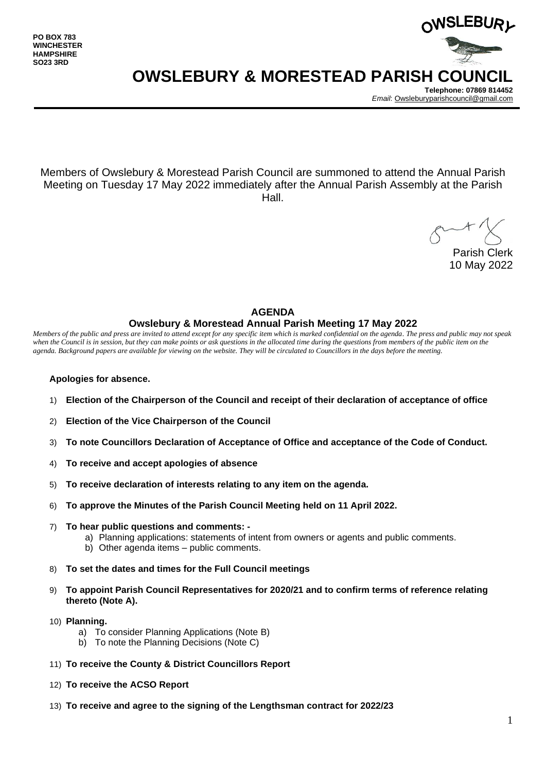

**Telephone: 07869 814452** *Email*[: Owsleburyparishcouncil@gmail.com](mailto:Owsleburyparishcouncil@gmail.com)

Members of Owslebury & Morestead Parish Council are summoned to attend the Annual Parish Meeting on Tuesday 17 May 2022 immediately after the Annual Parish Assembly at the Parish Hall.

Parish Clerk 10 May 2022

## **AGENDA Owslebury & Morestead Annual Parish Meeting 17 May 2022**

*Members of the public and press are invited to attend except for any specific item which is marked confidential on the agenda. The press and public may not speak*  when the Council is in session, but they can make points or ask questions in the allocated time during the questions from members of the public item on the *agenda. Background papers are available for viewing on the website. They will be circulated to Councillors in the days before the meeting.* 

#### **Apologies for absence.**

- 1) **Election of the Chairperson of the Council and receipt of their declaration of acceptance of office**
- 2) **Election of the Vice Chairperson of the Council**
- 3) **To note Councillors Declaration of Acceptance of Office and acceptance of the Code of Conduct.**
- 4) **To receive and accept apologies of absence**
- 5) **To receive declaration of interests relating to any item on the agenda.**
- 6) **To approve the Minutes of the Parish Council Meeting held on 11 April 2022.**
- 7) **To hear public questions and comments:** 
	- a) Planning applications: statements of intent from owners or agents and public comments.
	- b) Other agenda items public comments.
- 8) **To set the dates and times for the Full Council meetings**
- 9) **To appoint Parish Council Representatives for 2020/21 and to confirm terms of reference relating thereto (Note A).**
- 10) **Planning.** 
	- a) To consider Planning Applications (Note B)
	- b) To note the Planning Decisions (Note C)
- 11) **To receive the County & District Councillors Report**
- 12) **To receive the ACSO Report**
- 13) **To receive and agree to the signing of the Lengthsman contract for 2022/23**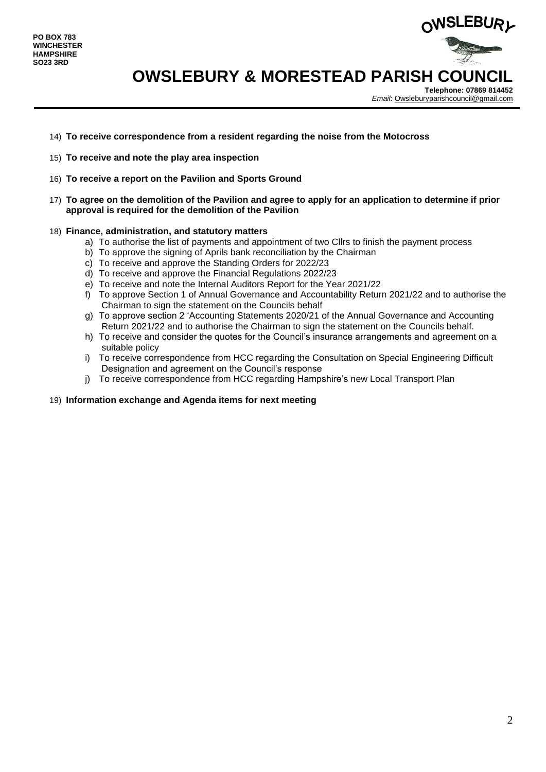

**Telephone: 07869 814452** *Email*[: Owsleburyparishcouncil@gmail.com](mailto:Owsleburyparishcouncil@gmail.com)

- 14) **To receive correspondence from a resident regarding the noise from the Motocross**
- 15) **To receive and note the play area inspection**
- 16) **To receive a report on the Pavilion and Sports Ground**
- 17) **To agree on the demolition of the Pavilion and agree to apply for an application to determine if prior approval is required for the demolition of the Pavilion**

#### 18) **Finance, administration, and statutory matters**

- a) To authorise the list of payments and appointment of two Cllrs to finish the payment process
- b) To approve the signing of Aprils bank reconciliation by the Chairman
- c) To receive and approve the Standing Orders for 2022/23
- d) To receive and approve the Financial Regulations 2022/23
- e) To receive and note the Internal Auditors Report for the Year 2021/22
- f) To approve Section 1 of Annual Governance and Accountability Return 2021/22 and to authorise the Chairman to sign the statement on the Councils behalf
- g) To approve section 2 'Accounting Statements 2020/21 of the Annual Governance and Accounting Return 2021/22 and to authorise the Chairman to sign the statement on the Councils behalf.
- h) To receive and consider the quotes for the Council's insurance arrangements and agreement on a suitable policy
- i) To receive correspondence from HCC regarding the Consultation on Special Engineering Difficult Designation and agreement on the Council's response
- j) To receive correspondence from HCC regarding Hampshire's new Local Transport Plan

#### 19) **Information exchange and Agenda items for next meeting**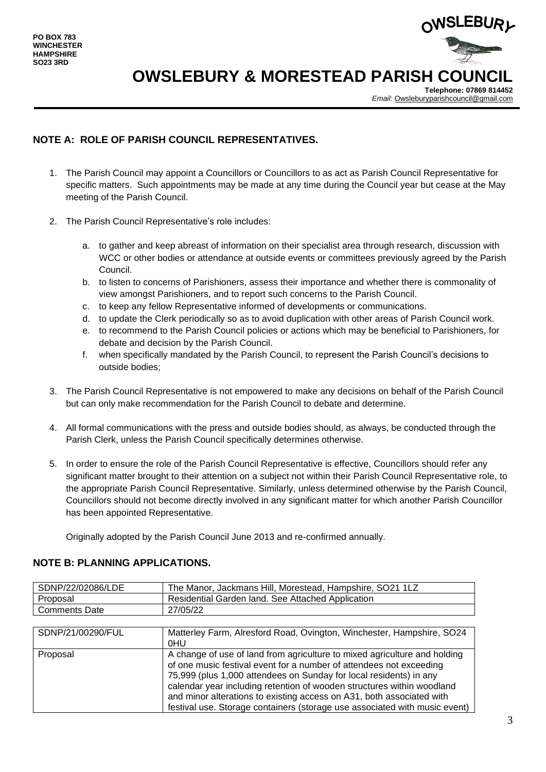

**Telephone: 07869 814452** *Email*[: Owsleburyparishcouncil@gmail.com](mailto:Owsleburyparishcouncil@gmail.com)

### **NOTE A: ROLE OF PARISH COUNCIL REPRESENTATIVES.**

- 1. The Parish Council may appoint a Councillors or Councillors to as act as Parish Council Representative for specific matters. Such appointments may be made at any time during the Council year but cease at the May meeting of the Parish Council.
- 2. The Parish Council Representative's role includes:
	- a. to gather and keep abreast of information on their specialist area through research, discussion with WCC or other bodies or attendance at outside events or committees previously agreed by the Parish Council.
	- b. to listen to concerns of Parishioners, assess their importance and whether there is commonality of view amongst Parishioners, and to report such concerns to the Parish Council.
	- c. to keep any fellow Representative informed of developments or communications.
	- d. to update the Clerk periodically so as to avoid duplication with other areas of Parish Council work.
	- e. to recommend to the Parish Council policies or actions which may be beneficial to Parishioners, for debate and decision by the Parish Council.
	- f. when specifically mandated by the Parish Council, to represent the Parish Council's decisions to outside bodies;
- 3. The Parish Council Representative is not empowered to make any decisions on behalf of the Parish Council but can only make recommendation for the Parish Council to debate and determine.
- 4. All formal communications with the press and outside bodies should, as always, be conducted through the Parish Clerk, unless the Parish Council specifically determines otherwise.
- 5. In order to ensure the role of the Parish Council Representative is effective, Councillors should refer any significant matter brought to their attention on a subject not within their Parish Council Representative role, to the appropriate Parish Council Representative. Similarly, unless determined otherwise by the Parish Council, Councillors should not become directly involved in any significant matter for which another Parish Councillor has been appointed Representative.

Originally adopted by the Parish Council June 2013 and re-confirmed annually.

### **NOTE B: PLANNING APPLICATIONS.**

| SDNP/22/02086/LDE    | The Manor, Jackmans Hill, Morestead, Hampshire, SO21 1LZ              |
|----------------------|-----------------------------------------------------------------------|
| Proposal             | Residential Garden land. See Attached Application                     |
| <b>Comments Date</b> | 27/05/22                                                              |
|                      |                                                                       |
| SDNP/21/00290/FUL    | Matterley Farm, Alresford Road, Ovington, Winchester, Hampshire, SO24 |

|          | 0HU                                                                        |
|----------|----------------------------------------------------------------------------|
| Proposal | A change of use of land from agriculture to mixed agriculture and holding  |
|          | of one music festival event for a number of attendees not exceeding        |
|          | 75,999 (plus 1,000 attendees on Sunday for local residents) in any         |
|          | calendar year including retention of wooden structures within woodland     |
|          | and minor alterations to existing access on A31, both associated with      |
|          | festival use. Storage containers (storage use associated with music event) |
|          |                                                                            |